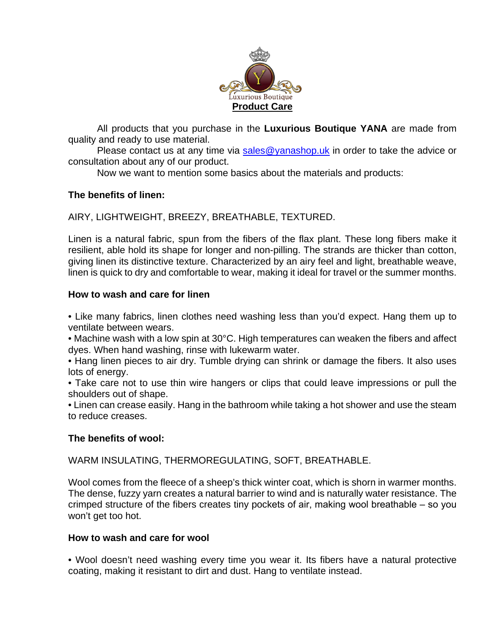

All products that you purchase in the **Luxurious Boutique YANA** are made from quality and ready to use material.

Please contact us at any time via [sales@yanashop.uk](mailto:sales@yanashop.uk) in order to take the advice or consultation about any of our product.

Now we want to mention some basics about the materials and products:

## **The benefits of linen:**

AIRY, LIGHTWEIGHT, BREEZY, BREATHABLE, TEXTURED.

Linen is a natural fabric, spun from the fibers of the flax plant. These long fibers make it resilient, able hold its shape for longer and non-pilling. The strands are thicker than cotton, giving linen its distinctive texture. Characterized by an airy feel and light, breathable weave, linen is quick to dry and comfortable to wear, making it ideal for travel or the summer months.

#### **How to wash and care for linen**

• Like many fabrics, linen clothes need washing less than you'd expect. Hang them up to ventilate between wears.

• Machine wash with a low spin at 30°C. High temperatures can weaken the fibers and affect dyes. When hand washing, rinse with lukewarm water.

• Hang linen pieces to air dry. Tumble drying can shrink or damage the fibers. It also uses lots of energy.

• Take care not to use thin wire hangers or clips that could leave impressions or pull the shoulders out of shape.

• Linen can crease easily. Hang in the bathroom while taking a hot shower and use the steam to reduce creases.

#### **The benefits of wool:**

WARM INSULATING, THERMOREGULATING, SOFT, BREATHABLE.

Wool comes from the fleece of a sheep's thick winter coat, which is shorn in warmer months. The dense, fuzzy yarn creates a natural barrier to wind and is naturally water resistance. The crimped structure of the fibers creates tiny pockets of air, making wool breathable ‒ so you won't get too hot.

#### **How to wash and care for wool**

• Wool doesn't need washing every time you wear it. Its fibers have a natural protective coating, making it resistant to dirt and dust. Hang to ventilate instead.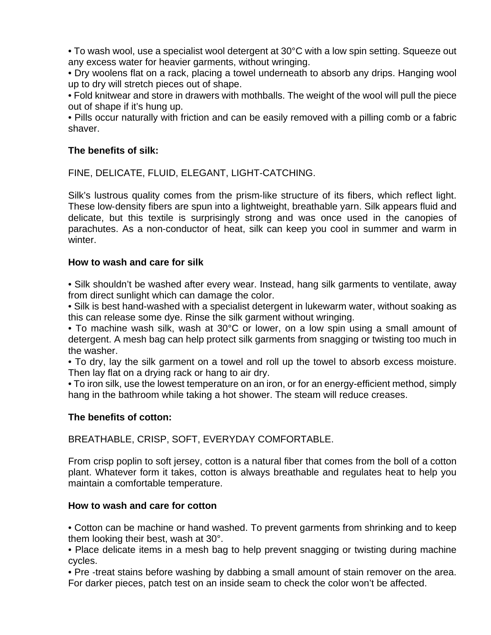• To wash wool, use a specialist wool detergent at 30°C with a low spin setting. Squeeze out any excess water for heavier garments, without wringing.

• Dry woolens flat on a rack, placing a towel underneath to absorb any drips. Hanging wool up to dry will stretch pieces out of shape.

• Fold knitwear and store in drawers with mothballs. The weight of the wool will pull the piece out of shape if it's hung up.

• Pills occur naturally with friction and can be easily removed with a pilling comb or a fabric shaver.

# **The benefits of silk:**

FINE, DELICATE, FLUID, ELEGANT, LIGHT‐CATCHING.

Silk's lustrous quality comes from the prism-like structure of its fibers, which reflect light. These low‐density fibers are spun into a lightweight, breathable yarn. Silk appears fluid and delicate, but this textile is surprisingly strong and was once used in the canopies of parachutes. As a non‐conductor of heat, silk can keep you cool in summer and warm in winter.

## **How to wash and care for silk**

• Silk shouldn't be washed after every wear. Instead, hang silk garments to ventilate, away from direct sunlight which can damage the color.

• Silk is best hand-washed with a specialist detergent in lukewarm water, without soaking as this can release some dye. Rinse the silk garment without wringing.

• To machine wash silk, wash at 30°C or lower, on a low spin using a small amount of detergent. A mesh bag can help protect silk garments from snagging or twisting too much in the washer.

• To dry, lay the silk garment on a towel and roll up the towel to absorb excess moisture. Then lay flat on a drying rack or hang to air dry.

• To iron silk, use the lowest temperature on an iron, or for an energy-efficient method, simply hang in the bathroom while taking a hot shower. The steam will reduce creases.

## **The benefits of cotton:**

BREATHABLE, CRISP, SOFT, EVERYDAY COMFORTABLE.

From crisp poplin to soft jersey, cotton is a natural fiber that comes from the boll of a cotton plant. Whatever form it takes, cotton is always breathable and regulates heat to help you maintain a comfortable temperature.

## **How to wash and care for cotton**

• Cotton can be machine or hand washed. To prevent garments from shrinking and to keep them looking their best, wash at 30°.

• Place delicate items in a mesh bag to help prevent snagging or twisting during machine cycles.

• Pre -treat stains before washing by dabbing a small amount of stain remover on the area. For darker pieces, patch test on an inside seam to check the color won't be affected.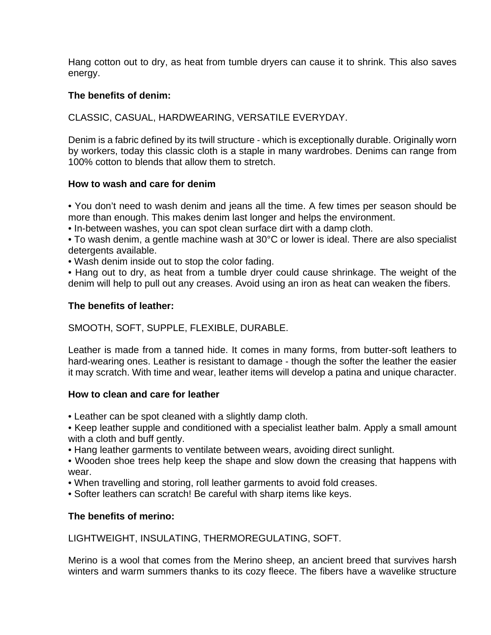Hang cotton out to dry, as heat from tumble dryers can cause it to shrink. This also saves energy.

## **The benefits of denim:**

CLASSIC, CASUAL, HARDWEARING, VERSATILE EVERYDAY.

Denim is a fabric defined by its twill structure ‐ which is exceptionally durable. Originally worn by workers, today this classic cloth is a staple in many wardrobes. Denims can range from 100% cotton to blends that allow them to stretch.

## **How to wash and care for denim**

• You don't need to wash denim and jeans all the time. A few times per season should be more than enough. This makes denim last longer and helps the environment.

- In-between washes, you can spot clean surface dirt with a damp cloth.
- To wash denim, a gentle machine wash at 30°C or lower is ideal. There are also specialist detergents available.
- Wash denim inside out to stop the color fading.

• Hang out to dry, as heat from a tumble dryer could cause shrinkage. The weight of the denim will help to pull out any creases. Avoid using an iron as heat can weaken the fibers.

## **The benefits of leather:**

## SMOOTH, SOFT, SUPPLE, FLEXIBLE, DURABLE.

Leather is made from a tanned hide. It comes in many forms, from butter-soft leathers to hard-wearing ones. Leather is resistant to damage ‐ though the softer the leather the easier it may scratch. With time and wear, leather items will develop a patina and unique character.

## **How to clean and care for leather**

- Leather can be spot cleaned with a slightly damp cloth.
- Keep leather supple and conditioned with a specialist leather balm. Apply a small amount with a cloth and buff gently.
- Hang leather garments to ventilate between wears, avoiding direct sunlight.
- Wooden shoe trees help keep the shape and slow down the creasing that happens with wear.
- When travelling and storing, roll leather garments to avoid fold creases.
- Softer leathers can scratch! Be careful with sharp items like keys.

# **The benefits of merino:**

LIGHTWEIGHT, INSULATING, THERMOREGULATING, SOFT.

Merino is a wool that comes from the Merino sheep, an ancient breed that survives harsh winters and warm summers thanks to its cozy fleece. The fibers have a wavelike structure